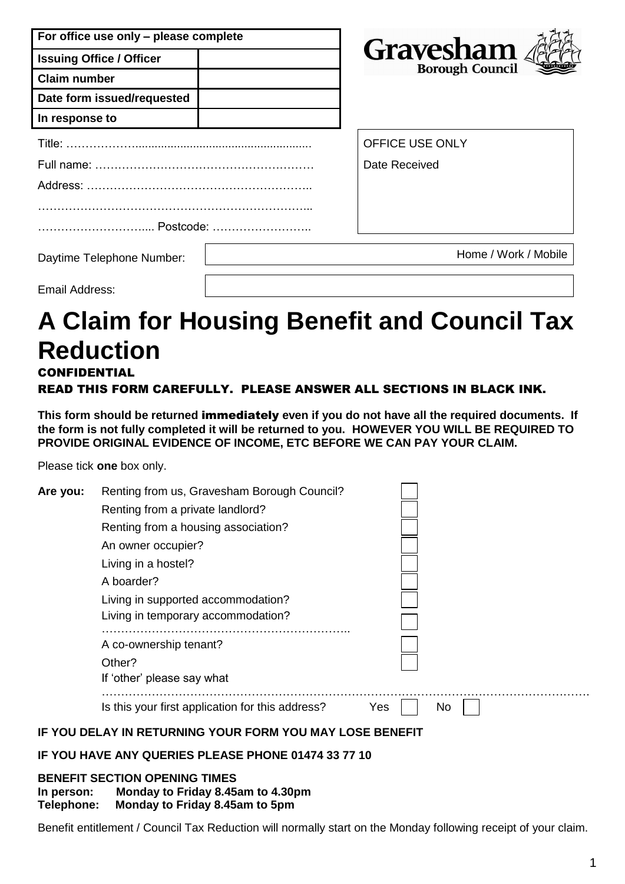| For office use only - please complete |                                            |
|---------------------------------------|--------------------------------------------|
| <b>Issuing Office / Officer</b>       | <b>Gravesham</b><br><b>Borough Council</b> |
| <b>Claim number</b>                   |                                            |
| Date form issued/requested            |                                            |
| In response to                        |                                            |
|                                       | <b>OFFICE USE ONLY</b>                     |
|                                       | Date Received                              |
|                                       |                                            |
|                                       |                                            |
| Postcode:                             |                                            |
| Daytime Telephone Number:             | Home / Work / Mobile                       |

Email Address:

# **A Claim for Housing Benefit and Council Tax Reduction** CONFIDENTIAL

### READ THIS FORM CAREFULLY. PLEASE ANSWER ALL SECTIONS IN BLACK INK.

**This form should be returned** immediately **even if you do not have all the required documents. If the form is not fully completed it will be returned to you. HOWEVER YOU WILL BE REQUIRED TO PROVIDE ORIGINAL EVIDENCE OF INCOME, ETC BEFORE WE CAN PAY YOUR CLAIM.**

Please tick **one** box only.

| Are you: | Renting from us, Gravesham Borough Council?      |            |  |
|----------|--------------------------------------------------|------------|--|
|          | Renting from a private landlord?                 |            |  |
|          | Renting from a housing association?              |            |  |
|          | An owner occupier?                               |            |  |
|          | Living in a hostel?                              |            |  |
|          | A boarder?                                       |            |  |
|          | Living in supported accommodation?               |            |  |
|          | Living in temporary accommodation?               |            |  |
|          | A co-ownership tenant?                           |            |  |
|          | Other?                                           |            |  |
|          | If 'other' please say what                       |            |  |
|          | Is this your first application for this address? | Yes<br>No. |  |

### **IF YOU DELAY IN RETURNING YOUR FORM YOU MAY LOSE BENEFIT**

### **IF YOU HAVE ANY QUERIES PLEASE PHONE 01474 33 77 10**

### **BENEFIT SECTION OPENING TIMES**

**In person: Monday to Friday 8.45am to 4.30pm**

**Telephone: Monday to Friday 8.45am to 5pm**

Benefit entitlement / Council Tax Reduction will normally start on the Monday following receipt of your claim.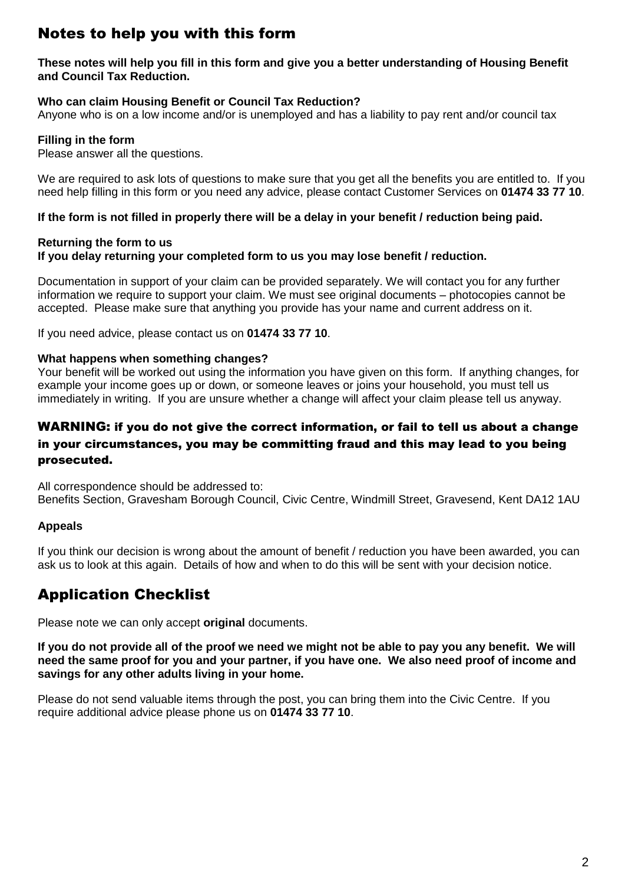# Notes to help you with this form

#### **These notes will help you fill in this form and give you a better understanding of Housing Benefit and Council Tax Reduction.**

### **Who can claim Housing Benefit or Council Tax Reduction?**

Anyone who is on a low income and/or is unemployed and has a liability to pay rent and/or council tax

#### **Filling in the form**

Please answer all the questions.

We are required to ask lots of questions to make sure that you get all the benefits you are entitled to. If you need help filling in this form or you need any advice, please contact Customer Services on **01474 33 77 10**.

**If the form is not filled in properly there will be a delay in your benefit / reduction being paid.**

#### **Returning the form to us If you delay returning your completed form to us you may lose benefit / reduction.**

Documentation in support of your claim can be provided separately. We will contact you for any further information we require to support your claim. We must see original documents – photocopies cannot be accepted. Please make sure that anything you provide has your name and current address on it.

If you need advice, please contact us on **01474 33 77 10**.

#### **What happens when something changes?**

Your benefit will be worked out using the information you have given on this form. If anything changes, for example your income goes up or down, or someone leaves or joins your household, you must tell us immediately in writing. If you are unsure whether a change will affect your claim please tell us anyway.

### WARNING: if you do not give the correct information, or fail to tell us about a change in your circumstances, you may be committing fraud and this may lead to you being prosecuted.

All correspondence should be addressed to: Benefits Section, Gravesham Borough Council, Civic Centre, Windmill Street, Gravesend, Kent DA12 1AU

### **Appeals**

If you think our decision is wrong about the amount of benefit / reduction you have been awarded, you can ask us to look at this again. Details of how and when to do this will be sent with your decision notice.

## Application Checklist

Please note we can only accept **original** documents.

**If you do not provide all of the proof we need we might not be able to pay you any benefit. We will need the same proof for you and your partner, if you have one. We also need proof of income and savings for any other adults living in your home.**

Please do not send valuable items through the post, you can bring them into the Civic Centre. If you require additional advice please phone us on **01474 33 77 10**.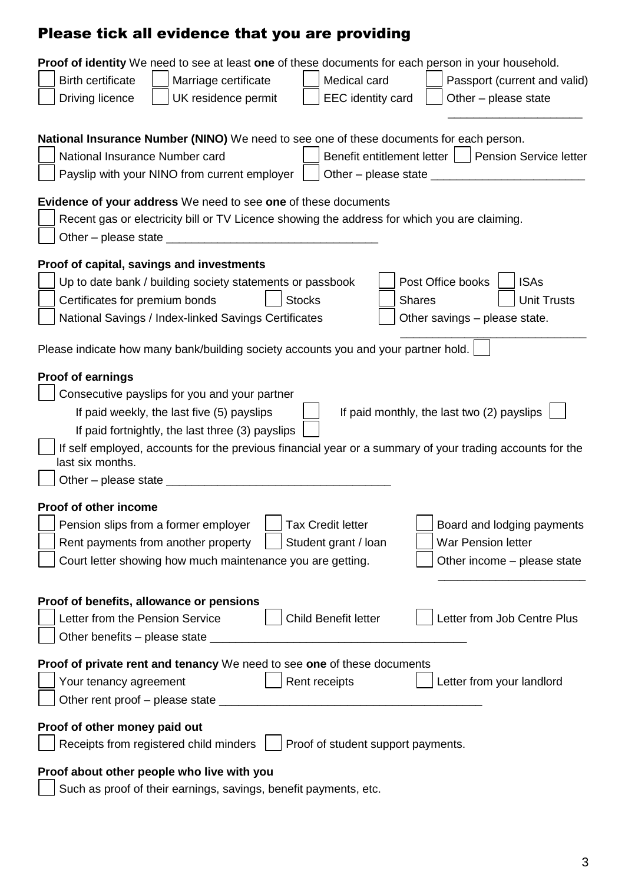# Please tick all evidence that you are providing

| Proof of identity We need to see at least one of these documents for each person in your household.            |
|----------------------------------------------------------------------------------------------------------------|
| <b>Birth certificate</b><br>Marriage certificate<br>Medical card<br>Passport (current and valid)               |
| <b>EEC</b> identity card<br>Driving licence<br>UK residence permit<br>Other - please state                     |
|                                                                                                                |
| National Insurance Number (NINO) We need to see one of these documents for each person.                        |
| Benefit entitlement letter<br>National Insurance Number card<br><b>Pension Service letter</b>                  |
| Payslip with your NINO from current employer<br>Other – please state $\_\_$                                    |
|                                                                                                                |
| <b>Evidence of your address</b> We need to see one of these documents                                          |
| Recent gas or electricity bill or TV Licence showing the address for which you are claiming.                   |
|                                                                                                                |
| Proof of capital, savings and investments                                                                      |
| Post Office books<br><b>ISAs</b><br>Up to date bank / building society statements or passbook                  |
| Certificates for premium bonds<br><b>Shares</b><br><b>Stocks</b><br><b>Unit Trusts</b>                         |
|                                                                                                                |
| National Savings / Index-linked Savings Certificates<br>Other savings - please state.                          |
| Please indicate how many bank/building society accounts you and your partner hold.                             |
|                                                                                                                |
| <b>Proof of earnings</b>                                                                                       |
| Consecutive payslips for you and your partner                                                                  |
| If paid monthly, the last two (2) payslips<br>If paid weekly, the last five (5) payslips                       |
| If paid fortnightly, the last three (3) payslips                                                               |
| If self employed, accounts for the previous financial year or a summary of your trading accounts for the       |
| last six months.                                                                                               |
| Other - please state _____                                                                                     |
| Proof of other income                                                                                          |
| Pension slips from a former employer<br><b>Tax Credit letter</b><br>Board and lodging payments                 |
| Rent payments from another property<br>Student grant / loan<br><b>War Pension letter</b>                       |
|                                                                                                                |
| Court letter showing how much maintenance you are getting.<br>Other income - please state                      |
|                                                                                                                |
| Proof of benefits, allowance or pensions                                                                       |
| Child Benefit letter<br>Letter from Job Centre Plus<br>Letter from the Pension Service                         |
| Other benefits - please state ____                                                                             |
| Proof of private rent and tenancy We need to see one of these documents                                        |
| Your tenancy agreement<br>Letter from your landlord<br>Rent receipts                                           |
|                                                                                                                |
|                                                                                                                |
| Proof of other money paid out                                                                                  |
| Proof of student support payments.<br>Receipts from registered child minders                                   |
|                                                                                                                |
| Proof about other people who live with you<br>Such as proof of their earnings, savings, benefit payments, etc. |
|                                                                                                                |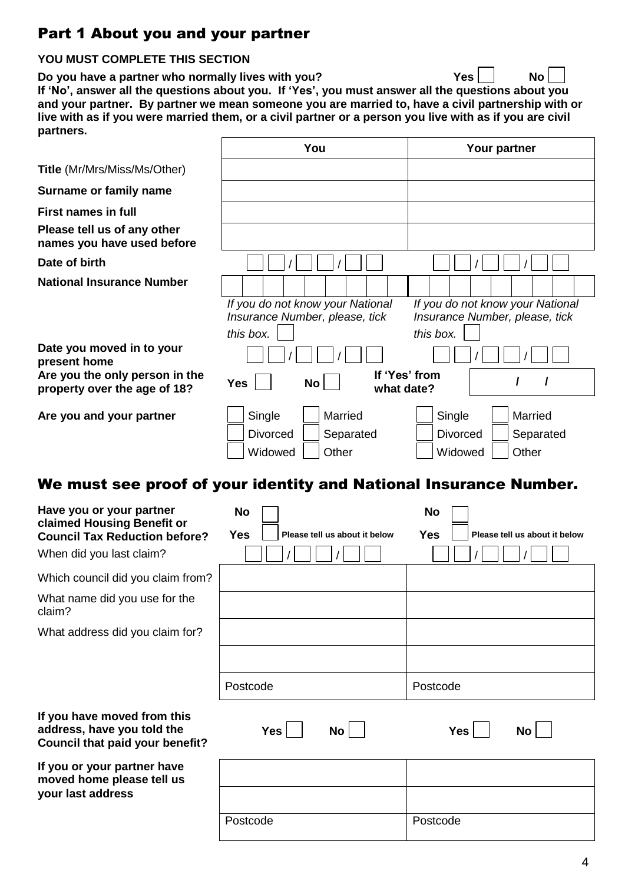# Part 1 About you and your partner

## **YOU MUST COMPLETE THIS SECTION**

**Do you have a partner who normally lives with you? Yes No If 'No', answer all the questions about you. If 'Yes', you must answer all the questions about you and your partner. By partner we mean someone you are married to, have a civil partnership with or live with as if you were married them, or a civil partner or a person you live with as if you are civil partners.**

| partners.                                                                                                                  |                                                                                 |                                                                                 |
|----------------------------------------------------------------------------------------------------------------------------|---------------------------------------------------------------------------------|---------------------------------------------------------------------------------|
|                                                                                                                            | You                                                                             | Your partner                                                                    |
| <b>Title</b> (Mr/Mrs/Miss/Ms/Other)                                                                                        |                                                                                 |                                                                                 |
| Surname or family name                                                                                                     |                                                                                 |                                                                                 |
| <b>First names in full</b>                                                                                                 |                                                                                 |                                                                                 |
| Please tell us of any other<br>names you have used before                                                                  |                                                                                 |                                                                                 |
| Date of birth                                                                                                              |                                                                                 |                                                                                 |
| <b>National Insurance Number</b>                                                                                           |                                                                                 |                                                                                 |
|                                                                                                                            | If you do not know your National<br>Insurance Number, please, tick<br>this box. | If you do not know your National<br>Insurance Number, please, tick<br>this box. |
| Date you moved in to your<br>present home                                                                                  |                                                                                 |                                                                                 |
| Are you the only person in the<br>property over the age of 18?                                                             | <b>Yes</b><br><b>No</b><br>what date?                                           | If 'Yes' from<br>I<br>I                                                         |
| Are you and your partner                                                                                                   | Married<br>Single<br><b>Divorced</b><br>Separated<br>Other<br>Widowed           | Single<br>Married<br><b>Divorced</b><br>Separated<br>Other<br>Widowed           |
|                                                                                                                            | We must see proof of your identity and National Insurance Number.               |                                                                                 |
| Have you or your partner<br>claimed Housing Benefit or<br><b>Council Tax Reduction before?</b><br>When did you last claim? | <b>No</b><br><b>Yes</b><br>Please tell us about it below                        | <b>No</b><br><b>Yes</b><br>Please tell us about it below                        |
| Which council did you claim from?                                                                                          |                                                                                 |                                                                                 |
| What name did you use for the<br>claim?                                                                                    |                                                                                 |                                                                                 |
| What address did you claim for?                                                                                            |                                                                                 |                                                                                 |
|                                                                                                                            |                                                                                 |                                                                                 |
|                                                                                                                            | Postcode                                                                        | Postcode                                                                        |
| If you have moved from this<br>address, have you told the<br>Council that paid your benefit?                               | <b>Yes</b><br>No <sub>1</sub>                                                   | <b>Yes</b><br><b>No</b>                                                         |
| If you or your partner have<br>moved home please tell us                                                                   |                                                                                 |                                                                                 |
| your last address                                                                                                          |                                                                                 |                                                                                 |
|                                                                                                                            | Postcode                                                                        | Postcode                                                                        |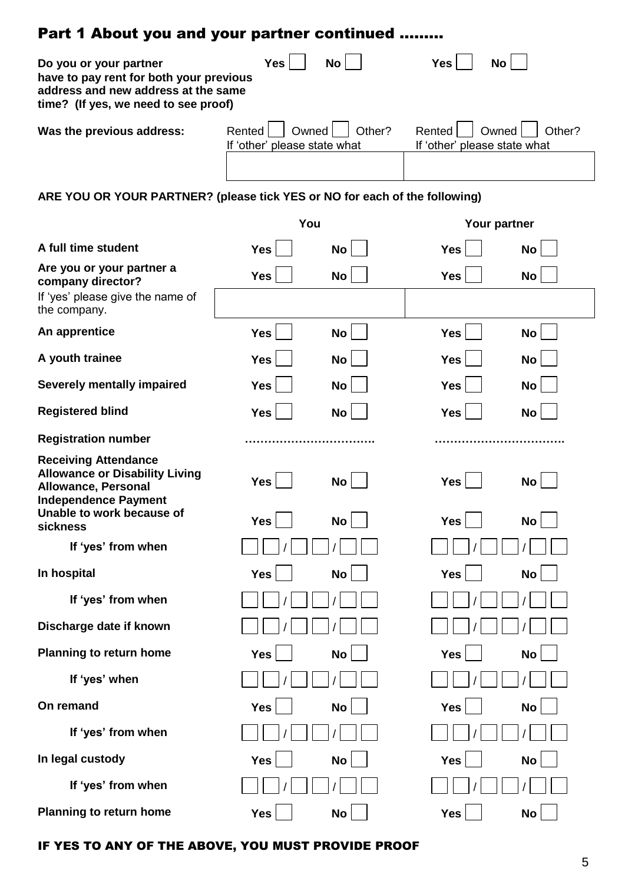| Part 1 About you and your partner continued                                                                                                      |                                                 |           |                                                 |           |  |  |  |
|--------------------------------------------------------------------------------------------------------------------------------------------------|-------------------------------------------------|-----------|-------------------------------------------------|-----------|--|--|--|
| Do you or your partner<br>have to pay rent for both your previous<br>address and new address at the same<br>time? (If yes, we need to see proof) | <b>Yes</b>                                      | <b>No</b> | <b>Yes</b><br><b>No</b>                         |           |  |  |  |
| Was the previous address:                                                                                                                        | Rented<br>Owned<br>If 'other' please state what | Other?    | Rented<br>Owned<br>If 'other' please state what | Other?    |  |  |  |
| ARE YOU OR YOUR PARTNER? (please tick YES or NO for each of the following)                                                                       |                                                 |           |                                                 |           |  |  |  |
|                                                                                                                                                  | You                                             |           | Your partner                                    |           |  |  |  |
| A full time student                                                                                                                              | <b>Yes</b>                                      | <b>No</b> | <b>Yes</b>                                      | <b>No</b> |  |  |  |
| Are you or your partner a<br>company director?<br>If 'yes' please give the name of                                                               | <b>Yes</b>                                      | No        | <b>Yes</b>                                      | <b>No</b> |  |  |  |
| the company.                                                                                                                                     |                                                 |           |                                                 |           |  |  |  |
| An apprentice                                                                                                                                    | <b>Yes</b>                                      | No        | <b>Yes</b>                                      | <b>No</b> |  |  |  |
| A youth trainee                                                                                                                                  | <b>Yes</b>                                      | No        | <b>Yes</b>                                      | <b>No</b> |  |  |  |
| <b>Severely mentally impaired</b>                                                                                                                | <b>Yes</b>                                      | No        | <b>Yes</b>                                      | <b>No</b> |  |  |  |
| <b>Registered blind</b>                                                                                                                          | <b>Yes</b>                                      | <b>No</b> | <b>Yes</b>                                      | <b>No</b> |  |  |  |
| <b>Registration number</b>                                                                                                                       |                                                 |           |                                                 |           |  |  |  |
| <b>Receiving Attendance</b><br><b>Allowance or Disability Living</b><br><b>Allowance, Personal</b><br><b>Independence Payment</b>                | <b>Yes</b>                                      | No        | <b>Yes</b>                                      | <b>No</b> |  |  |  |
| Unable to work because of<br>sickness                                                                                                            | <b>Yes</b>                                      | <b>No</b> | <b>Yes</b>                                      | <b>No</b> |  |  |  |
| If 'yes' from when                                                                                                                               |                                                 |           |                                                 |           |  |  |  |
| In hospital                                                                                                                                      | <b>Yes</b>                                      | No        | <b>Yes</b>                                      | <b>No</b> |  |  |  |
| If 'yes' from when                                                                                                                               |                                                 |           |                                                 |           |  |  |  |
| Discharge date if known                                                                                                                          |                                                 |           |                                                 |           |  |  |  |
| <b>Planning to return home</b>                                                                                                                   | <b>Yes</b>                                      | No        | <b>Yes</b>                                      | <b>No</b> |  |  |  |
| If 'yes' when                                                                                                                                    |                                                 |           |                                                 |           |  |  |  |
| On remand                                                                                                                                        | <b>Yes</b>                                      | No        | <b>Yes</b>                                      | <b>No</b> |  |  |  |
| If 'yes' from when                                                                                                                               |                                                 |           |                                                 |           |  |  |  |
| In legal custody                                                                                                                                 | <b>Yes</b>                                      | No        | <b>Yes</b>                                      | <b>No</b> |  |  |  |
| If 'yes' from when                                                                                                                               |                                                 |           |                                                 |           |  |  |  |
| <b>Planning to return home</b>                                                                                                                   | <b>Yes</b>                                      | No        | <b>Yes</b>                                      | <b>No</b> |  |  |  |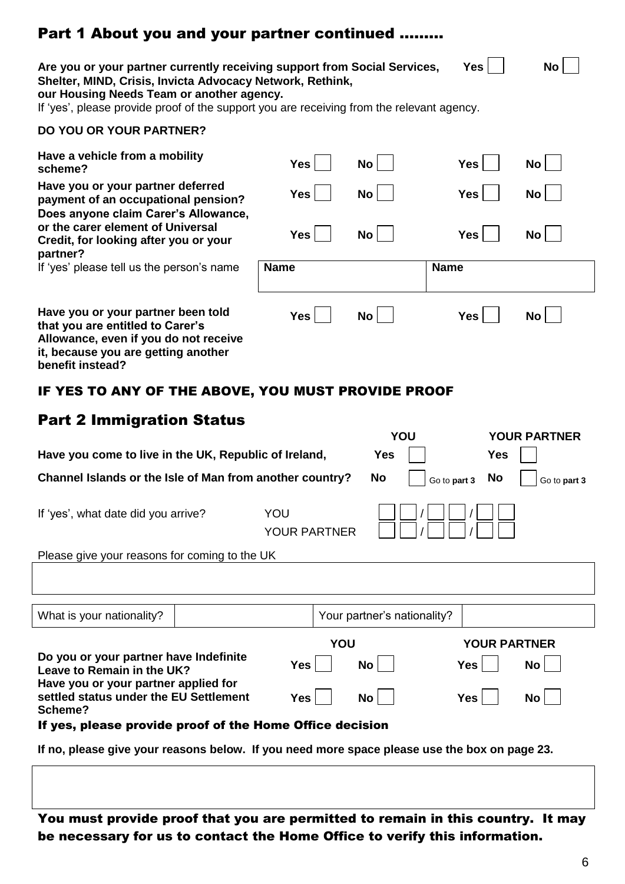# Part 1 About you and your partner continued ………

| Yes <br>No<br>Are you or your partner currently receiving support from Social Services,<br>Shelter, MIND, Crisis, Invicta Advocacy Network, Rethink,<br>our Housing Needs Team or another agency.<br>If 'yes', please provide proof of the support you are receiving from the relevant agency. |                            |                             |                     |                     |  |  |  |
|------------------------------------------------------------------------------------------------------------------------------------------------------------------------------------------------------------------------------------------------------------------------------------------------|----------------------------|-----------------------------|---------------------|---------------------|--|--|--|
| <b>DO YOU OR YOUR PARTNER?</b>                                                                                                                                                                                                                                                                 |                            |                             |                     |                     |  |  |  |
| Have a vehicle from a mobility<br>scheme?                                                                                                                                                                                                                                                      | Yes                        | $\mathsf{No}$               | <b>Yes</b>          | No <sub>1</sub>     |  |  |  |
| Have you or your partner deferred<br>payment of an occupational pension?<br>Does anyone claim Carer's Allowance,                                                                                                                                                                               | Yes                        | $\mathsf{No}$               | <b>Yes</b>          | No                  |  |  |  |
| or the carer element of Universal<br>Credit, for looking after you or your<br>partner?                                                                                                                                                                                                         | <b>Yes</b>                 | <b>No</b>                   | <b>Yes</b>          | <b>No</b>           |  |  |  |
| If 'yes' please tell us the person's name                                                                                                                                                                                                                                                      | <b>Name</b>                |                             | <b>Name</b>         |                     |  |  |  |
| Have you or your partner been told<br>that you are entitled to Carer's<br>Allowance, even if you do not receive<br>it, because you are getting another<br>benefit instead?                                                                                                                     | <b>Yes</b>                 | <b>No</b>                   | <b>Yes</b>          | <b>No</b>           |  |  |  |
| IF YES TO ANY OF THE ABOVE, YOU MUST PROVIDE PROOF                                                                                                                                                                                                                                             |                            |                             |                     |                     |  |  |  |
| <b>Part 2 Immigration Status</b>                                                                                                                                                                                                                                                               |                            | YOU                         |                     | <b>YOUR PARTNER</b> |  |  |  |
| Have you come to live in the UK, Republic of Ireland,                                                                                                                                                                                                                                          |                            | <b>Yes</b>                  | <b>Yes</b>          |                     |  |  |  |
| Channel Islands or the Isle of Man from another country?                                                                                                                                                                                                                                       |                            | No                          | No<br>Go to part 3  | Go to part 3        |  |  |  |
| If 'yes', what date did you arrive?                                                                                                                                                                                                                                                            | YOU<br><b>YOUR PARTNER</b> |                             |                     |                     |  |  |  |
| Please give your reasons for coming to the UK                                                                                                                                                                                                                                                  |                            |                             |                     |                     |  |  |  |
|                                                                                                                                                                                                                                                                                                |                            |                             |                     |                     |  |  |  |
|                                                                                                                                                                                                                                                                                                |                            |                             |                     |                     |  |  |  |
| What is your nationality?                                                                                                                                                                                                                                                                      |                            | Your partner's nationality? |                     |                     |  |  |  |
| Do you or your partner have Indefinite                                                                                                                                                                                                                                                         | YOU                        |                             | <b>YOUR PARTNER</b> |                     |  |  |  |
| Leave to Remain in the UK?                                                                                                                                                                                                                                                                     | <b>Yes</b>                 | <b>No</b>                   | <b>Yes</b>          | No                  |  |  |  |
| Have you or your partner applied for<br>settled status under the EU Settlement<br>Scheme?                                                                                                                                                                                                      | Yes                        | No                          | Yes                 | No                  |  |  |  |
| If yes, please provide proof of the Home Office decision                                                                                                                                                                                                                                       |                            |                             |                     |                     |  |  |  |
| If no, please give your reasons below. If you need more space please use the box on page 23.                                                                                                                                                                                                   |                            |                             |                     |                     |  |  |  |
|                                                                                                                                                                                                                                                                                                |                            |                             |                     |                     |  |  |  |

You must provide proof that you are permitted to remain in this country. It may be necessary for us to contact the Home Office to verify this information.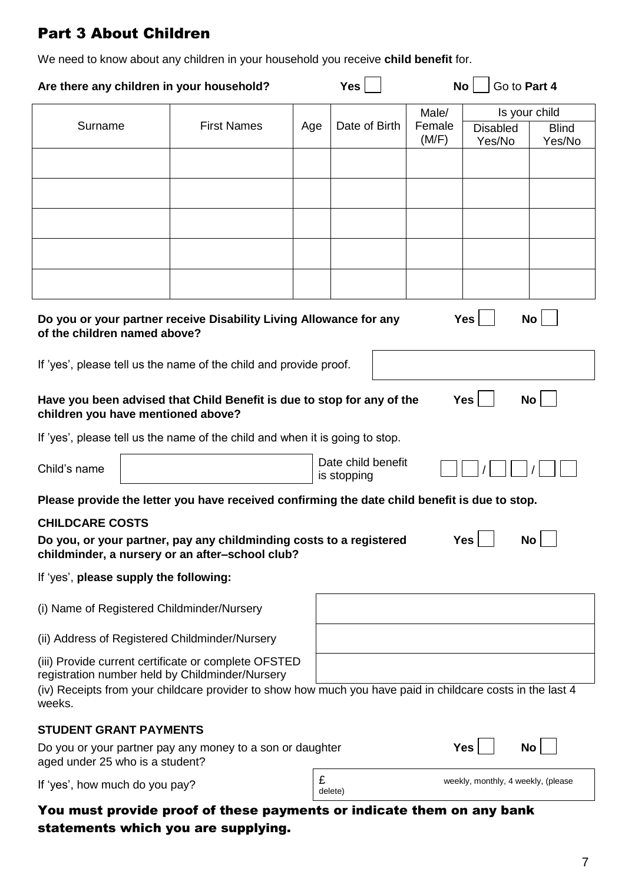# Part 3 About Children

We need to know about any children in your household you receive **child benefit** for.

| Are there any children in your household?                                                                                                                                                                                       |                                                                                                                               |     | <b>Yes</b>                        | <b>No</b>       |                                    | Go to Part 4            |  |
|---------------------------------------------------------------------------------------------------------------------------------------------------------------------------------------------------------------------------------|-------------------------------------------------------------------------------------------------------------------------------|-----|-----------------------------------|-----------------|------------------------------------|-------------------------|--|
| Surname                                                                                                                                                                                                                         | <b>First Names</b>                                                                                                            |     | Date of Birth                     | Male/<br>Female |                                    | Is your child           |  |
|                                                                                                                                                                                                                                 |                                                                                                                               | Age |                                   | (M/F)           | <b>Disabled</b><br>Yes/No          | <b>Blind</b><br>Yes/No  |  |
|                                                                                                                                                                                                                                 |                                                                                                                               |     |                                   |                 |                                    |                         |  |
|                                                                                                                                                                                                                                 |                                                                                                                               |     |                                   |                 |                                    |                         |  |
|                                                                                                                                                                                                                                 |                                                                                                                               |     |                                   |                 |                                    |                         |  |
|                                                                                                                                                                                                                                 |                                                                                                                               |     |                                   |                 |                                    |                         |  |
|                                                                                                                                                                                                                                 |                                                                                                                               |     |                                   |                 |                                    |                         |  |
|                                                                                                                                                                                                                                 | <b>Yes</b><br><b>No</b><br>Do you or your partner receive Disability Living Allowance for any<br>of the children named above? |     |                                   |                 |                                    |                         |  |
| If 'yes', please tell us the name of the child and provide proof.                                                                                                                                                               |                                                                                                                               |     |                                   |                 |                                    |                         |  |
| Have you been advised that Child Benefit is due to stop for any of the<br>children you have mentioned above?                                                                                                                    |                                                                                                                               |     |                                   |                 | <b>Yes</b>                         | <b>No</b>               |  |
| If 'yes', please tell us the name of the child and when it is going to stop.                                                                                                                                                    |                                                                                                                               |     |                                   |                 |                                    |                         |  |
| Child's name                                                                                                                                                                                                                    |                                                                                                                               |     | Date child benefit<br>is stopping |                 |                                    |                         |  |
| Please provide the letter you have received confirming the date child benefit is due to stop.                                                                                                                                   |                                                                                                                               |     |                                   |                 |                                    |                         |  |
| <b>CHILDCARE COSTS</b><br>Do you, or your partner, pay any childminding costs to a registered<br>childminder, a nursery or an after-school club?                                                                                |                                                                                                                               |     |                                   |                 | $Yes$ $\Box$                       | $\mathsf{No} \bigsqcup$ |  |
| If 'yes', please supply the following:                                                                                                                                                                                          |                                                                                                                               |     |                                   |                 |                                    |                         |  |
| (i) Name of Registered Childminder/Nursery                                                                                                                                                                                      |                                                                                                                               |     |                                   |                 |                                    |                         |  |
| (ii) Address of Registered Childminder/Nursery                                                                                                                                                                                  |                                                                                                                               |     |                                   |                 |                                    |                         |  |
| (iii) Provide current certificate or complete OFSTED<br>registration number held by Childminder/Nursery<br>(iv) Receipts from your childcare provider to show how much you have paid in childcare costs in the last 4<br>weeks. |                                                                                                                               |     |                                   |                 |                                    |                         |  |
| <b>STUDENT GRANT PAYMENTS</b>                                                                                                                                                                                                   |                                                                                                                               |     |                                   |                 |                                    |                         |  |
| Do you or your partner pay any money to a son or daughter<br>aged under 25 who is a student?                                                                                                                                    |                                                                                                                               |     |                                   |                 | <b>Yes</b>                         | <b>No</b>               |  |
| If 'yes', how much do you pay?                                                                                                                                                                                                  |                                                                                                                               | £   | delete)                           |                 | weekly, monthly, 4 weekly, (please |                         |  |
| You must provide proof of these payments or indicate them on any bank<br>statements which you are supplying.                                                                                                                    |                                                                                                                               |     |                                   |                 |                                    |                         |  |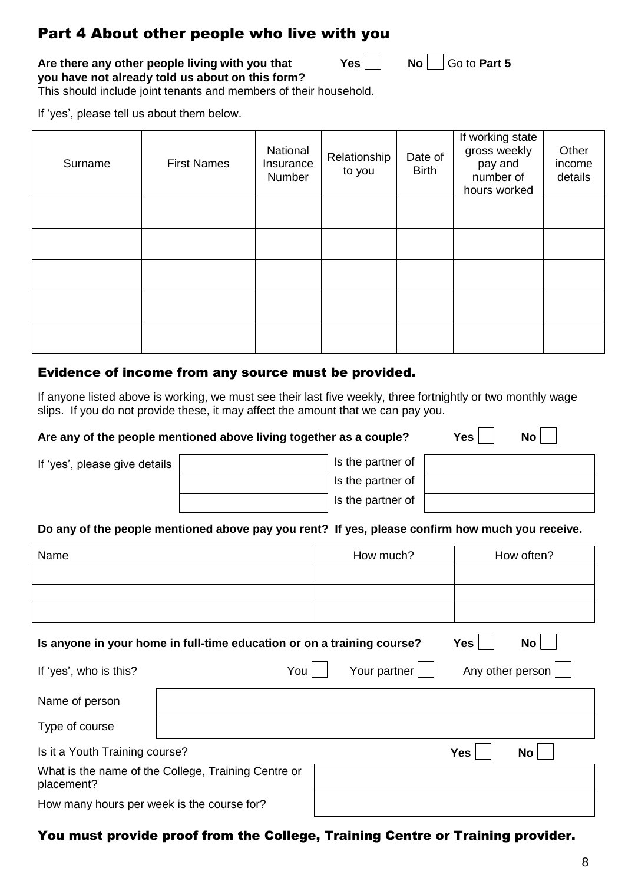## Part 4 About other people who live with you

**Are there any other people living with you that**  $Yes$  **| No | Go to Part 5 you have not already told us about on this form?**

This should include joint tenants and members of their household.

If 'yes', please tell us about them below.

| Surname | <b>First Names</b> | National<br>Insurance<br>Number | Relationship<br>to you | Date of<br><b>Birth</b> | If working state<br>gross weekly<br>pay and<br>number of<br>hours worked | Other<br>income<br>details |
|---------|--------------------|---------------------------------|------------------------|-------------------------|--------------------------------------------------------------------------|----------------------------|
|         |                    |                                 |                        |                         |                                                                          |                            |
|         |                    |                                 |                        |                         |                                                                          |                            |
|         |                    |                                 |                        |                         |                                                                          |                            |
|         |                    |                                 |                        |                         |                                                                          |                            |
|         |                    |                                 |                        |                         |                                                                          |                            |

### Evidence of income from any source must be provided.

If anyone listed above is working, we must see their last five weekly, three fortnightly or two monthly wage slips. If you do not provide these, it may affect the amount that we can pay you.

#### Are any of the people mentioned above living together as a couple? Yes **Yes**

| If 'yes', please give details | Is the partner of |
|-------------------------------|-------------------|
|                               | Is the partner of |
|                               | Is the partner of |

### **Do any of the people mentioned above pay you rent? If yes, please confirm how much you receive.**

| Name                                                                                |                                                     | How much?    |                  | How often? |  |
|-------------------------------------------------------------------------------------|-----------------------------------------------------|--------------|------------------|------------|--|
|                                                                                     |                                                     |              |                  |            |  |
|                                                                                     |                                                     |              |                  |            |  |
|                                                                                     |                                                     |              |                  |            |  |
| No<br>Is anyone in your home in full-time education or on a training course?<br>Yes |                                                     |              |                  |            |  |
| If 'yes', who is this?                                                              | You                                                 | Your partner | Any other person |            |  |
| Name of person                                                                      |                                                     |              |                  |            |  |
| Type of course                                                                      |                                                     |              |                  |            |  |
| Is it a Youth Training course?                                                      |                                                     |              | <b>Yes</b>       | No         |  |
| placement?                                                                          | What is the name of the College, Training Centre or |              |                  |            |  |
| How many hours per week is the course for?                                          |                                                     |              |                  |            |  |

### You must provide proof from the College, Training Centre or Training provider.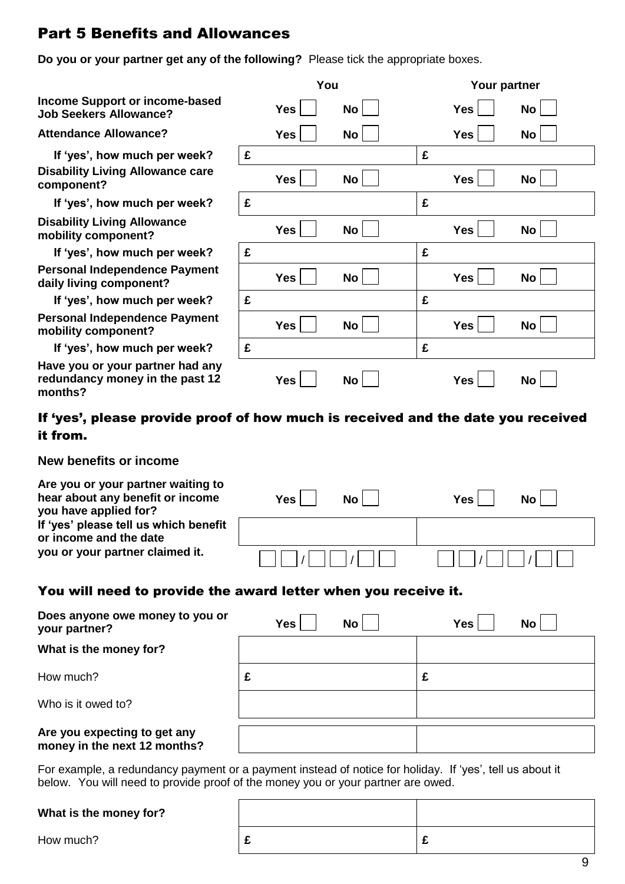# Part 5 Benefits and Allowances

**Do you or your partner get any of the following?** Please tick the appropriate boxes.

 **If 'yes', how much per week? Have you or your partner had any redundancy money in the past 12 months?**

|                                                                                |   | You        |           |   | Your partner |           |
|--------------------------------------------------------------------------------|---|------------|-----------|---|--------------|-----------|
| <b>Income Support or income-based</b><br><b>Job Seekers Allowance?</b>         |   | <b>Yes</b> | No        |   | <b>Yes</b>   | No        |
| <b>Attendance Allowance?</b>                                                   |   | <b>Yes</b> | No        |   | <b>Yes</b>   | No        |
| If 'yes', how much per week?                                                   | £ |            |           | £ |              |           |
| <b>Disability Living Allowance care</b><br>component?                          |   | Yes        | No        |   | <b>Yes</b>   | No        |
| If 'yes', how much per week?                                                   | £ |            |           | £ |              |           |
| <b>Disability Living Allowance</b><br>mobility component?                      |   | <b>Yes</b> | <b>No</b> |   | <b>Yes</b>   | No        |
| If 'yes', how much per week?                                                   | £ |            |           | £ |              |           |
| <b>Personal Independence Payment</b><br>daily living component?                |   | <b>Yes</b> | <b>No</b> |   | <b>Yes</b>   | <b>No</b> |
| If 'yes', how much per week?                                                   | £ |            |           | £ |              |           |
| <b>Personal Independence Payment</b><br>mobility component?                    |   | Yes        | <b>No</b> |   | Yes          | <b>No</b> |
| If 'yes', how much per week?                                                   | £ |            |           | £ |              |           |
| Have you or your partner had any<br>redundancy money in the past 12<br>maniha? |   | <b>Yes</b> | <b>No</b> |   | <b>Yes</b>   | <b>No</b> |

### If 'yes', please provide proof of how much is received and the date you received it from.

### **New benefits or income**

| Are you or your partner waiting to<br>hear about any benefit or income<br>you have applied for? | <b>No</b><br><b>Yes</b> | No<br>Yes l |
|-------------------------------------------------------------------------------------------------|-------------------------|-------------|
| If 'yes' please tell us which benefit<br>or income and the date                                 |                         |             |
| you or your partner claimed it.                                                                 |                         |             |

### You will need to provide the award letter when you receive it.

| Does anyone owe money to you or<br>your partner?             |   | <b>Yes</b> | <b>No</b> | <b>Yes</b> | No |
|--------------------------------------------------------------|---|------------|-----------|------------|----|
| What is the money for?                                       |   |            |           |            |    |
| How much?                                                    | £ |            |           | £          |    |
| Who is it owed to?                                           |   |            |           |            |    |
| Are you expecting to get any<br>money in the next 12 months? |   |            |           |            |    |

For example, a redundancy payment or a payment instead of notice for holiday. If 'yes', tell us about it below. You will need to provide proof of the money you or your partner are owed.

#### **What is the money for?**

How much? **£ £**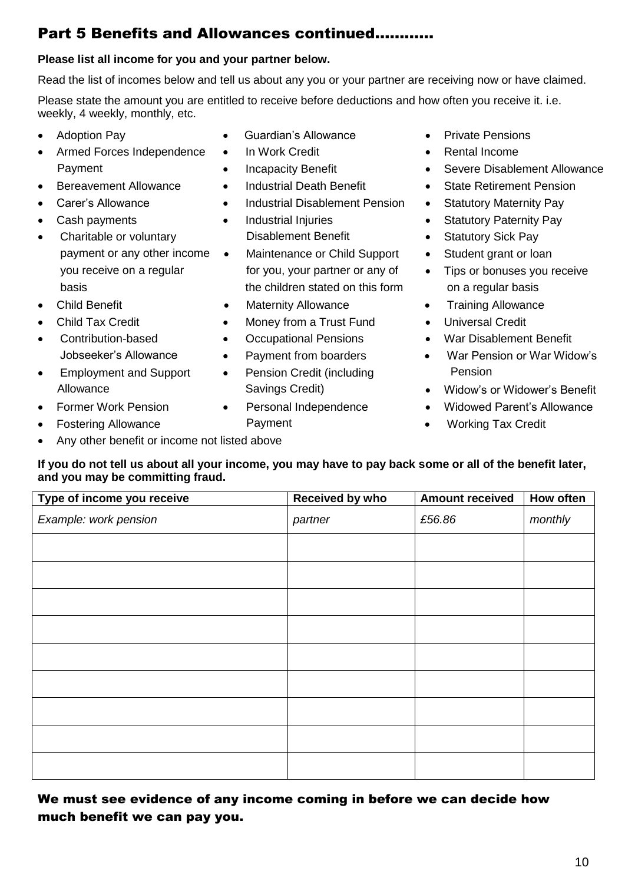# Part 5 Benefits and Allowances continued…………

### **Please list all income for you and your partner below.**

Read the list of incomes below and tell us about any you or your partner are receiving now or have claimed.

Please state the amount you are entitled to receive before deductions and how often you receive it. i.e. weekly, 4 weekly, monthly, etc.

- 
- Armed Forces Independence In Work Credit  **Rental Income**
- 
- 
- 
- Charitable or voluntary **Disablement Benefit Charitable or voluntary** Disablement Benefit
- 
- 
- 
- 
- 
- 
- Any other benefit or income not listed above
- Adoption Pay **Callowance Contain Contain Contains Allowance Contains Pensions** 
	-
	-
	-
- Carer's Allowance **1988 1988** Industrial Disablement Pension **•** Statutory Maternity Pay
	-
- payment or any other income . Maintenance or Child Support . Student grant or loan you receive on a regular for you, your partner or any of <br>
Fips or bonuses you receive basis the children stated on this form on a regular basis basis
- Child Benefit **Child Benefit Maternity Allowance Child Benefit Maternity Allowance Training Allowance**
- Child Tax Credit **Child Tax Credit Child Tax Credit 1** 
	-
	-
- Employment and Support Pension Credit (including Pension
- Fostering Allowance **Payment** Payment **COVID-10** Payment **Payment Working Tax Credit**
- 
- 
- Payment **Incapacity Benefit Conserverse Severe Disablement Allowance Conserverse Conserverse Conserverse Conserverse Conserverse Conserverse Conserverse Conserverse Conserverse Conserverse Conserverse Conserverse Conse**
- Bereavement Allowance **•** Industrial Death Benefit **•** State Retirement Pension
	-
- Cash payments **Cash payments Industrial Injuries Cash payments Payments Cash payments** 
	-
	-
	-
	-
	-
- Contribution-based Occupational Pensions War Disablement Benefit
- Jobseeker's Allowance Payment from boarders War Pension or War Widow's
- Allowance **Savings Credit** Savings Credit **System Server's Benefit COVID-00 Widow's or Widower's Benefit**
- Former Work Pension Personal Independence Widowed Parent's Allowance
	-

**If you do not tell us about all your income, you may have to pay back some or all of the benefit later, and you may be committing fraud.**

| Type of income you receive | Received by who | <b>Amount received</b> | How often |
|----------------------------|-----------------|------------------------|-----------|
| Example: work pension      | partner         | £56.86                 | monthly   |
|                            |                 |                        |           |
|                            |                 |                        |           |
|                            |                 |                        |           |
|                            |                 |                        |           |
|                            |                 |                        |           |
|                            |                 |                        |           |
|                            |                 |                        |           |
|                            |                 |                        |           |
|                            |                 |                        |           |

We must see evidence of any income coming in before we can decide how much benefit we can pay you.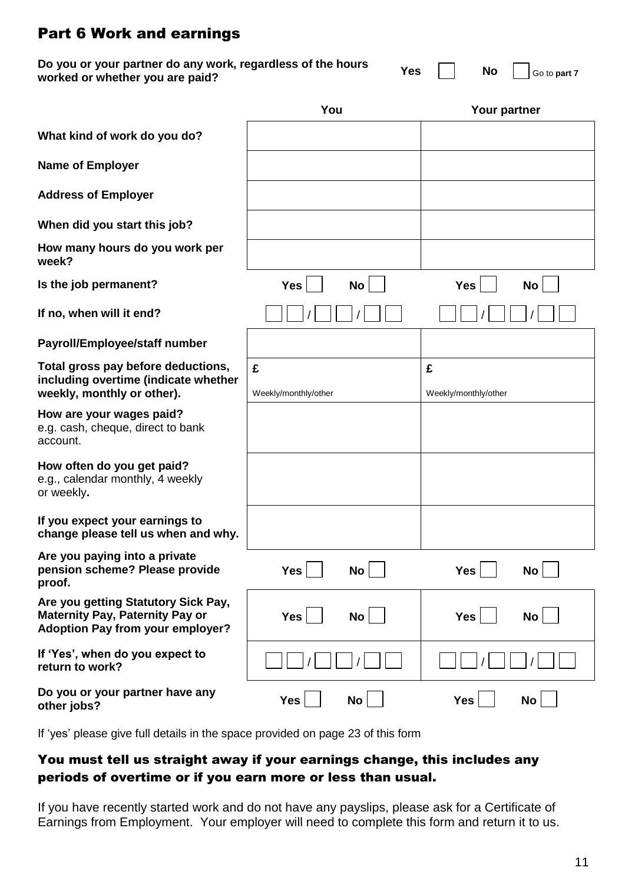## Part 6 Work and earnings

| Do you or your partner do any work, regardless of the hours<br>worked or whether you are paid?                           |                           | <b>Yes</b><br><b>No</b><br>Go to part 7 |
|--------------------------------------------------------------------------------------------------------------------------|---------------------------|-----------------------------------------|
|                                                                                                                          | You                       | Your partner                            |
| What kind of work do you do?                                                                                             |                           |                                         |
| <b>Name of Employer</b>                                                                                                  |                           |                                         |
| <b>Address of Employer</b>                                                                                               |                           |                                         |
| When did you start this job?                                                                                             |                           |                                         |
| How many hours do you work per<br>week?                                                                                  |                           |                                         |
| Is the job permanent?                                                                                                    | <b>No</b><br><b>Yes</b>   | <b>Yes</b><br><b>No</b>                 |
| If no, when will it end?                                                                                                 |                           |                                         |
| Payroll/Employee/staff number                                                                                            |                           |                                         |
| Total gross pay before deductions,<br>including overtime (indicate whether<br>weekly, monthly or other).                 | £<br>Weekly/monthly/other | £<br>Weekly/monthly/other               |
| How are your wages paid?<br>e.g. cash, cheque, direct to bank<br>account.                                                |                           |                                         |
| How often do you get paid?<br>e.g., calendar monthly, 4 weekly<br>or weekly.                                             |                           |                                         |
| If you expect your earnings to<br>change please tell us when and why.                                                    |                           |                                         |
| Are you paying into a private<br>pension scheme? Please provide<br>proof.                                                | <b>Yes</b><br>No          | <b>Yes</b><br>No <sub>1</sub>           |
| Are you getting Statutory Sick Pay,<br><b>Maternity Pay, Paternity Pay or</b><br><b>Adoption Pay from your employer?</b> | <b>Yes</b><br>No          | <b>Yes</b><br>No                        |
| If 'Yes', when do you expect to<br>return to work?                                                                       |                           |                                         |
| Do you or your partner have any<br>other jobs?                                                                           | <b>Yes</b><br><b>No</b>   | <b>Yes</b><br><b>No</b>                 |

If 'yes' please give full details in the space provided on page 23 of this form

### You must tell us straight away if your earnings change, this includes any periods of overtime or if you earn more or less than usual.

If you have recently started work and do not have any payslips, please ask for a Certificate of Earnings from Employment. Your employer will need to complete this form and return it to us.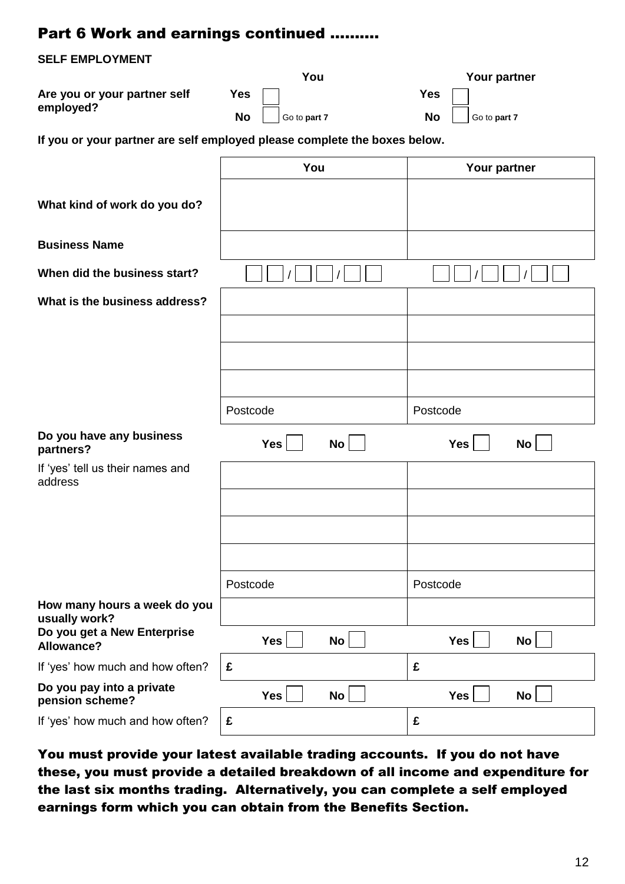# Part 6 Work and earnings continued ……….

### **SELF EMPLOYMENT**

|                                                                           |            | You          |            | Your partner |
|---------------------------------------------------------------------------|------------|--------------|------------|--------------|
| Are you or your partner self                                              | <b>Yes</b> |              | <b>Yes</b> |              |
| employed?                                                                 | <b>No</b>  | Go to part 7 | <b>No</b>  | Go to part 7 |
| If you or your partner are self employed please complete the boxes below. |            |              |            |              |
|                                                                           |            | You          |            | Your partner |
| What kind of work do you do?                                              |            |              |            |              |
|                                                                           |            |              |            |              |

**Business Name**

**When did the business start?** 

**What is the business address?**

| Do you have any business<br>partners? | Yes | $\mathsf{No} \mid$ | Yes | <b>No</b> |
|---------------------------------------|-----|--------------------|-----|-----------|
|                                       |     |                    |     |           |

If 'yes' tell us their names and address

| address                                          |            |           |            |    |
|--------------------------------------------------|------------|-----------|------------|----|
|                                                  |            |           |            |    |
|                                                  |            |           |            |    |
|                                                  |            |           |            |    |
|                                                  | Postcode   |           | Postcode   |    |
| How many hours a week do you<br>usually work?    |            |           |            |    |
| Do you get a New Enterprise<br><b>Allowance?</b> | <b>Yes</b> | <b>No</b> | <b>Yes</b> | No |
| If 'yes' how much and how often?                 | £          |           | £          |    |
| Do you pay into a private<br>pension scheme?     | <b>Yes</b> | <b>No</b> | <b>Yes</b> | No |
|                                                  |            |           |            |    |

Postcode Postcode Postcode

If 'yes' how much and how often? **£ £**

You must provide your latest available trading accounts. If you do not have these, you must provide a detailed breakdown of all income and expenditure for the last six months trading. Alternatively, you can complete a self employed earnings form which you can obtain from the Benefits Section.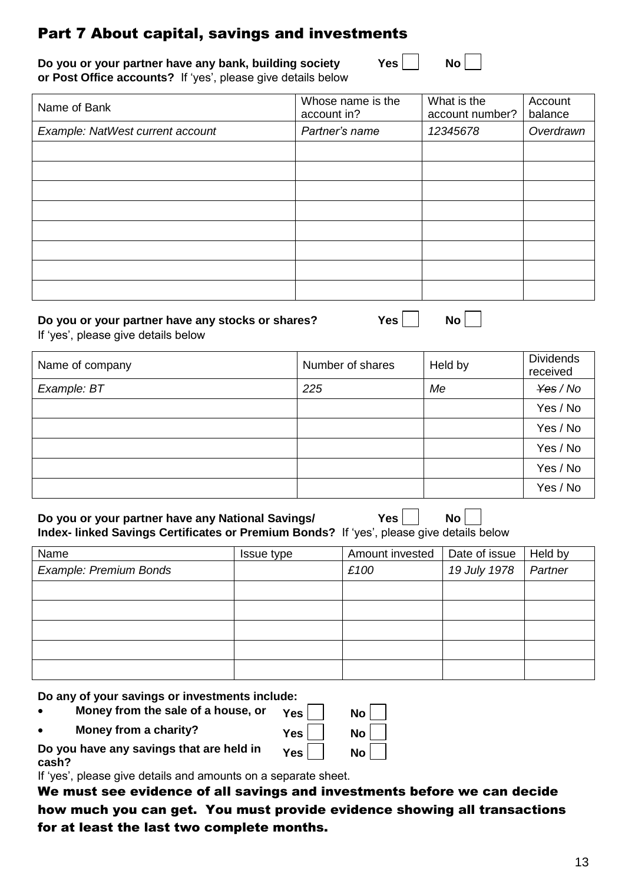## Part 7 About capital, savings and investments

**Do you or your partner have any bank, building society** Yes **or Post Office accounts?** If 'yes', please give details below

| Name of Bank                     | Whose name is the<br>account in? | What is the<br>account number? | Account<br>balance |
|----------------------------------|----------------------------------|--------------------------------|--------------------|
| Example: NatWest current account | Partner's name                   | 12345678                       | Overdrawn          |
|                                  |                                  |                                |                    |
|                                  |                                  |                                |                    |
|                                  |                                  |                                |                    |
|                                  |                                  |                                |                    |
|                                  |                                  |                                |                    |
|                                  |                                  |                                |                    |
|                                  |                                  |                                |                    |
|                                  |                                  |                                |                    |

#### **Do you or your partner have any stocks or shares?** Yes | No |

| ٠<br>$\sim$<br>г |  |  |
|------------------|--|--|
|                  |  |  |

If 'yes', please give details below

| Name of company | Number of shares | Held by | <b>Dividends</b><br>received |
|-----------------|------------------|---------|------------------------------|
| Example: BT     | 225              | Me      | $\frac{y}{\cos}$ / No        |
|                 |                  |         | Yes / No                     |
|                 |                  |         | Yes / No                     |
|                 |                  |         | Yes / No                     |
|                 |                  |         | Yes / No                     |
|                 |                  |         | Yes / No                     |

**Do you or your partner have any National Savings/ Yes | | No Index- linked Savings Certificates or Premium Bonds?** If 'yes', please give details below

| Name                   | Issue type | Amount invested | Date of issue | Held by |
|------------------------|------------|-----------------|---------------|---------|
| Example: Premium Bonds |            | £100            | 19 July 1978  | Partner |
|                        |            |                 |               |         |
|                        |            |                 |               |         |
|                        |            |                 |               |         |
|                        |            |                 |               |         |
|                        |            |                 |               |         |

**Do any of your savings or investments include:**

- **Money from the sale of a house, or Yes**
- **Money from a charity? Yes No**

Yes No

**Do you have any savings that are held in cash?**

If 'yes', please give details and amounts on a separate sheet.

We must see evidence of all savings and investments before we can decide how much you can get. You must provide evidence showing all transactions for at least the last two complete months.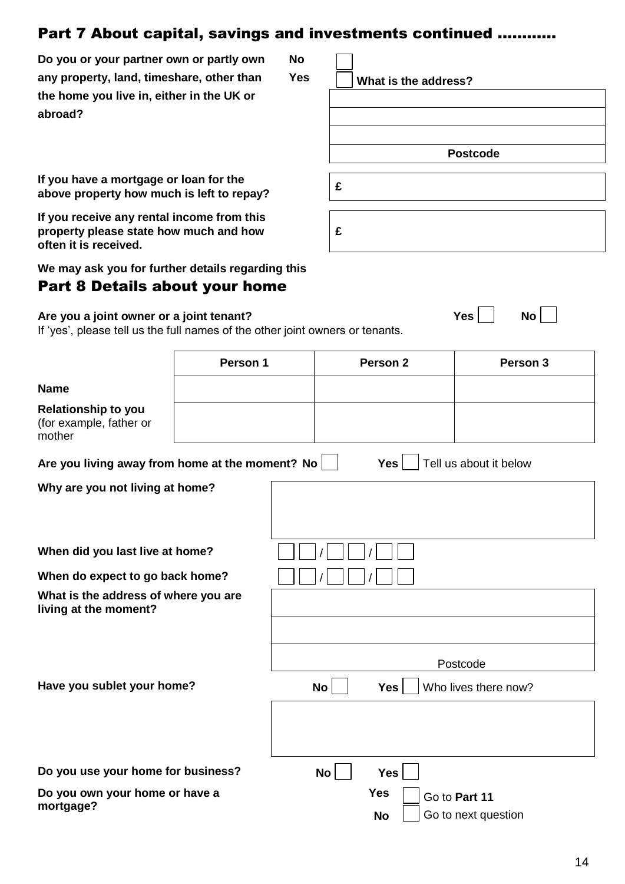## Part 7 About capital, savings and investments continued …………

**Do you or your partner own or partly own No** any property, land, timeshare, other than Yes **Now T** What is the address? **the home you live in, either in the UK or abroad?**

**If you have a mortgage or loan for the above property how much is left to repay?**

**If you receive any rental income from this property please state how much and how £ often it is received.**

**We may ask you for further details regarding this**

### Part 8 Details about your home

**Are you a joint owner or a joint tenant? Are you a joint owner or a joint tenant? No** 

If 'yes', please tell us the full names of the other joint owners or tenants.

|                                                                 | Person 1 |           | Person <sub>2</sub>     | Person 3                             |
|-----------------------------------------------------------------|----------|-----------|-------------------------|--------------------------------------|
| <b>Name</b>                                                     |          |           |                         |                                      |
| <b>Relationship to you</b><br>(for example, father or<br>mother |          |           |                         |                                      |
| Are you living away from home at the moment? No                 |          |           | <b>Yes</b>              | Tell us about it below               |
| Why are you not living at home?                                 |          |           |                         |                                      |
| When did you last live at home?                                 |          |           |                         |                                      |
| When do expect to go back home?                                 |          |           |                         |                                      |
| What is the address of where you are<br>living at the moment?   |          |           |                         |                                      |
|                                                                 |          |           |                         | Postcode                             |
| Have you sublet your home?                                      |          | <b>No</b> | Yes                     | Who lives there now?                 |
|                                                                 |          |           |                         |                                      |
| Do you use your home for business?                              |          | No        | <b>Yes</b>              |                                      |
| Do you own your home or have a<br>mortgage?                     |          |           | <b>Yes</b><br><b>No</b> | Go to Part 11<br>Go to next question |

|   | <b>Postcode</b> |  |
|---|-----------------|--|
|   |                 |  |
| £ |                 |  |
|   |                 |  |
| - |                 |  |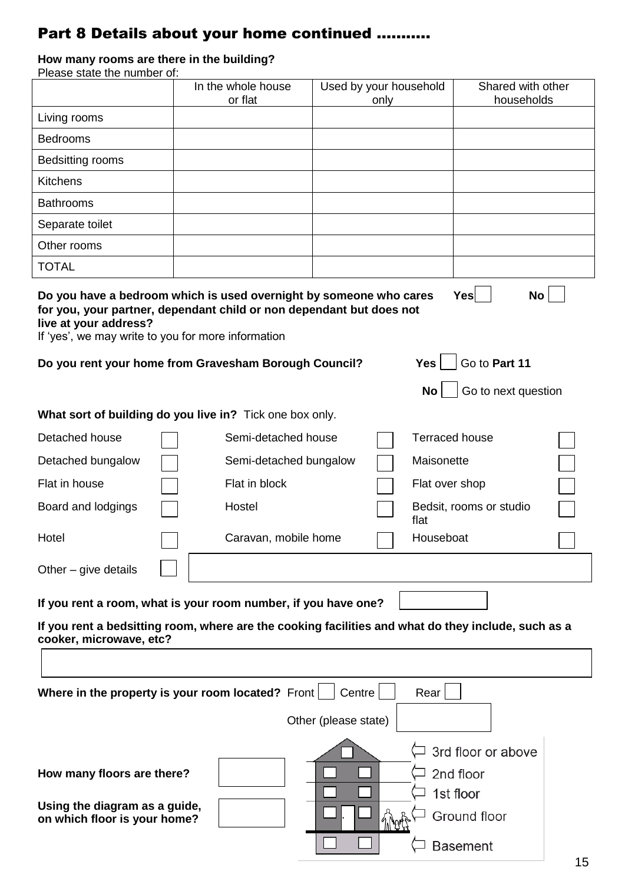# Part 8 Details about your home continued ………..

## **How many rooms are there in the building?**

| Please state the number of:                                                                                                                                                                                                                                                        |                               |                      |                                |                                                              |  |
|------------------------------------------------------------------------------------------------------------------------------------------------------------------------------------------------------------------------------------------------------------------------------------|-------------------------------|----------------------|--------------------------------|--------------------------------------------------------------|--|
|                                                                                                                                                                                                                                                                                    | In the whole house<br>or flat |                      | Used by your household<br>only | Shared with other<br>households                              |  |
| Living rooms                                                                                                                                                                                                                                                                       |                               |                      |                                |                                                              |  |
| <b>Bedrooms</b>                                                                                                                                                                                                                                                                    |                               |                      |                                |                                                              |  |
| Bedsitting rooms                                                                                                                                                                                                                                                                   |                               |                      |                                |                                                              |  |
| <b>Kitchens</b>                                                                                                                                                                                                                                                                    |                               |                      |                                |                                                              |  |
| <b>Bathrooms</b>                                                                                                                                                                                                                                                                   |                               |                      |                                |                                                              |  |
| Separate toilet                                                                                                                                                                                                                                                                    |                               |                      |                                |                                                              |  |
| Other rooms                                                                                                                                                                                                                                                                        |                               |                      |                                |                                                              |  |
| <b>TOTAL</b>                                                                                                                                                                                                                                                                       |                               |                      |                                |                                                              |  |
| Do you have a bedroom which is used overnight by someone who cares<br>for you, your partner, dependant child or non dependant but does not<br>live at your address?<br>If 'yes', we may write to you for more information<br>Do you rent your home from Gravesham Borough Council? |                               |                      | <b>Yes</b>                     | Yes<br><b>No</b><br>Go to Part 11                            |  |
|                                                                                                                                                                                                                                                                                    |                               |                      |                                | Go to next question<br>No                                    |  |
| What sort of building do you live in? Tick one box only.                                                                                                                                                                                                                           |                               |                      |                                |                                                              |  |
| Detached house                                                                                                                                                                                                                                                                     | Semi-detached house           |                      |                                | <b>Terraced house</b>                                        |  |
| Detached bungalow                                                                                                                                                                                                                                                                  | Semi-detached bungalow        |                      |                                | Maisonette                                                   |  |
| Flat in house                                                                                                                                                                                                                                                                      | Flat in block                 |                      |                                | Flat over shop                                               |  |
| Board and lodgings                                                                                                                                                                                                                                                                 | Hostel                        |                      | flat                           | Bedsit, rooms or studio                                      |  |
| Hotel                                                                                                                                                                                                                                                                              | Caravan, mobile home          |                      |                                | Houseboat                                                    |  |
| Other $-$ give details                                                                                                                                                                                                                                                             |                               |                      |                                |                                                              |  |
| If you rent a room, what is your room number, if you have one?                                                                                                                                                                                                                     |                               |                      |                                |                                                              |  |
| If you rent a bedsitting room, where are the cooking facilities and what do they include, such as a<br>cooker, microwave, etc?                                                                                                                                                     |                               |                      |                                |                                                              |  |
|                                                                                                                                                                                                                                                                                    |                               |                      |                                |                                                              |  |
| Where in the property is your room located? Front                                                                                                                                                                                                                                  |                               | Centre               | Rear                           |                                                              |  |
|                                                                                                                                                                                                                                                                                    |                               | Other (please state) |                                |                                                              |  |
| How many floors are there?<br>Using the diagram as a guide,<br>on which floor is your home?                                                                                                                                                                                        |                               |                      |                                | 3rd floor or above<br>2nd floor<br>1st floor<br>Ground floor |  |
|                                                                                                                                                                                                                                                                                    |                               |                      |                                | <b>Basement</b>                                              |  |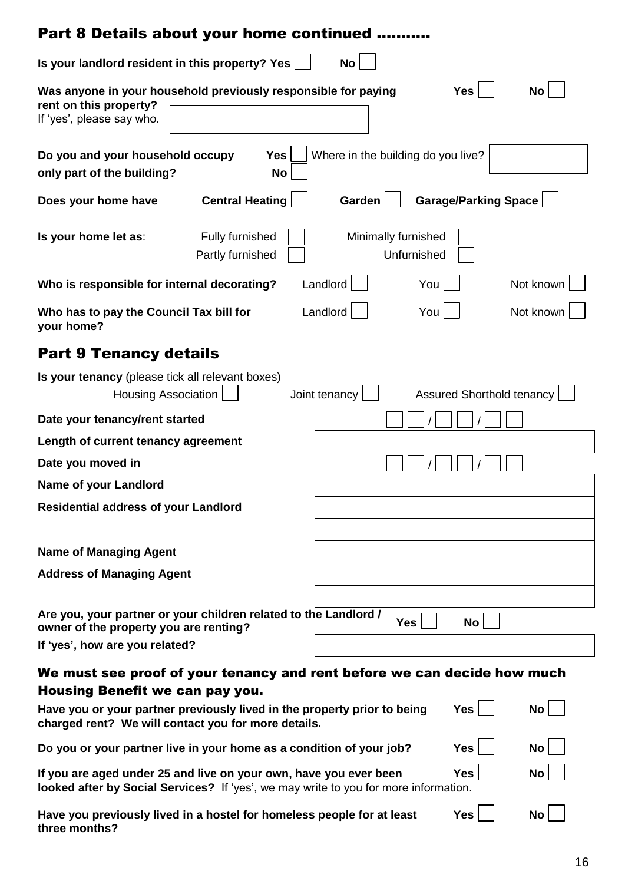| Part 8 Details about your home continued                                                                                                                                                                                                                                   |                                                                                              |  |  |  |  |  |
|----------------------------------------------------------------------------------------------------------------------------------------------------------------------------------------------------------------------------------------------------------------------------|----------------------------------------------------------------------------------------------|--|--|--|--|--|
| Is your landlord resident in this property? Yes                                                                                                                                                                                                                            | <b>No</b>                                                                                    |  |  |  |  |  |
| Was anyone in your household previously responsible for paying<br>rent on this property?<br>If 'yes', please say who.                                                                                                                                                      | <b>Yes</b><br><b>No</b>                                                                      |  |  |  |  |  |
| Do you and your household occupy<br><b>Yes</b><br>only part of the building?<br>No                                                                                                                                                                                         | Where in the building do you live?                                                           |  |  |  |  |  |
| <b>Central Heating</b><br>Does your home have                                                                                                                                                                                                                              | <b>Garage/Parking Space</b><br>Garden                                                        |  |  |  |  |  |
| Is your home let as:<br>Fully furnished<br>Partly furnished                                                                                                                                                                                                                | Minimally furnished<br>Unfurnished                                                           |  |  |  |  |  |
| Who is responsible for internal decorating?                                                                                                                                                                                                                                | Landlord<br>You<br>Not known                                                                 |  |  |  |  |  |
| Who has to pay the Council Tax bill for<br>your home?                                                                                                                                                                                                                      | Landlord<br>You  <br>Not known                                                               |  |  |  |  |  |
| <b>Part 9 Tenancy details</b>                                                                                                                                                                                                                                              |                                                                                              |  |  |  |  |  |
| Is your tenancy (please tick all relevant boxes)<br><b>Assured Shorthold tenancy</b><br>Joint tenancy<br><b>Housing Association</b>                                                                                                                                        |                                                                                              |  |  |  |  |  |
| Date your tenancy/rent started                                                                                                                                                                                                                                             |                                                                                              |  |  |  |  |  |
| Length of current tenancy agreement                                                                                                                                                                                                                                        |                                                                                              |  |  |  |  |  |
| Date you moved in                                                                                                                                                                                                                                                          |                                                                                              |  |  |  |  |  |
| Name of your Landlord                                                                                                                                                                                                                                                      |                                                                                              |  |  |  |  |  |
| <b>Residential address of your Landlord</b>                                                                                                                                                                                                                                |                                                                                              |  |  |  |  |  |
| <b>Name of Managing Agent</b>                                                                                                                                                                                                                                              |                                                                                              |  |  |  |  |  |
| <b>Address of Managing Agent</b>                                                                                                                                                                                                                                           |                                                                                              |  |  |  |  |  |
|                                                                                                                                                                                                                                                                            |                                                                                              |  |  |  |  |  |
| Are you, your partner or your children related to the Landlord /<br>owner of the property you are renting?                                                                                                                                                                 | <b>Yes</b><br>No                                                                             |  |  |  |  |  |
| If 'yes', how are you related?                                                                                                                                                                                                                                             |                                                                                              |  |  |  |  |  |
| Housing Benefit we can pay you.<br>Have you or your partner previously lived in the property prior to being<br>charged rent? We will contact you for more details.                                                                                                         | We must see proof of your tenancy and rent before we can decide how much<br><b>Yes</b><br>No |  |  |  |  |  |
|                                                                                                                                                                                                                                                                            | <b>No</b>                                                                                    |  |  |  |  |  |
| Do you or your partner live in your home as a condition of your job?<br><b>Yes</b><br><b>Yes</b><br><b>No</b><br>If you are aged under 25 and live on your own, have you ever been<br>looked after by Social Services? If 'yes', we may write to you for more information. |                                                                                              |  |  |  |  |  |
| Have you previously lived in a hostel for homeless people for at least<br><b>Yes</b><br><b>No</b><br>three months?                                                                                                                                                         |                                                                                              |  |  |  |  |  |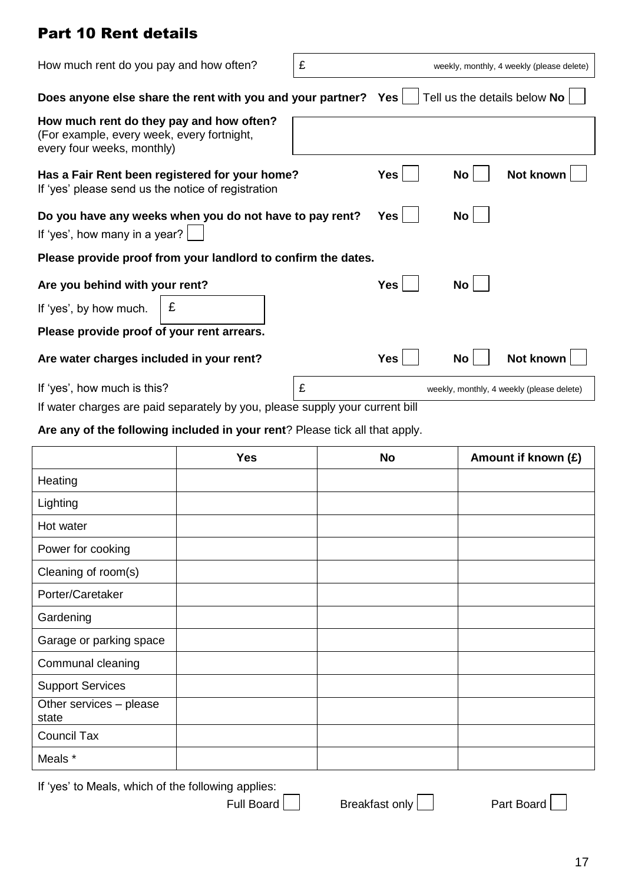# Part 10 Rent details

| How much rent do you pay and how often?                                                                              |                                                                | £          |            |                              | weekly, monthly, 4 weekly (please delete) |
|----------------------------------------------------------------------------------------------------------------------|----------------------------------------------------------------|------------|------------|------------------------------|-------------------------------------------|
|                                                                                                                      | Does anyone else share the rent with you and your partner? Yes |            |            | Tell us the details below No |                                           |
| How much rent do they pay and how often?<br>(For example, every week, every fortnight,<br>every four weeks, monthly) |                                                                |            |            |                              |                                           |
| Has a Fair Rent been registered for your home?<br>If 'yes' please send us the notice of registration                 |                                                                | <b>Yes</b> | No         | Not known                    |                                           |
| Do you have any weeks when you do not have to pay rent?<br>If 'yes', how many in a year?                             |                                                                |            | <b>Yes</b> | No                           |                                           |
|                                                                                                                      | Please provide proof from your landlord to confirm the dates.  |            |            |                              |                                           |
| Are you behind with your rent?                                                                                       |                                                                |            | <b>Yes</b> | No                           |                                           |
| If 'yes', by how much.                                                                                               | £                                                              |            |            |                              |                                           |
| Please provide proof of your rent arrears.                                                                           |                                                                |            |            |                              |                                           |
| Are water charges included in your rent?                                                                             |                                                                |            | <b>Yes</b> | No                           | Not known                                 |
| If 'yes', how much is this?                                                                                          |                                                                | £          |            |                              | weekly, monthly, 4 weekly (please delete) |
| If water charges are paid separately by you, please supply your current bill                                         |                                                                |            |            |                              |                                           |

### **Are any of the following included in your rent**? Please tick all that apply.

|                                  | <b>Yes</b> | <b>No</b> | Amount if known (£) |
|----------------------------------|------------|-----------|---------------------|
| Heating                          |            |           |                     |
| Lighting                         |            |           |                     |
| Hot water                        |            |           |                     |
| Power for cooking                |            |           |                     |
| Cleaning of room(s)              |            |           |                     |
| Porter/Caretaker                 |            |           |                     |
| Gardening                        |            |           |                     |
| Garage or parking space          |            |           |                     |
| Communal cleaning                |            |           |                     |
| <b>Support Services</b>          |            |           |                     |
| Other services - please<br>state |            |           |                     |
| Council Tax                      |            |           |                     |
| Meals *                          |            |           |                     |

If 'yes' to Meals, which of the following applies: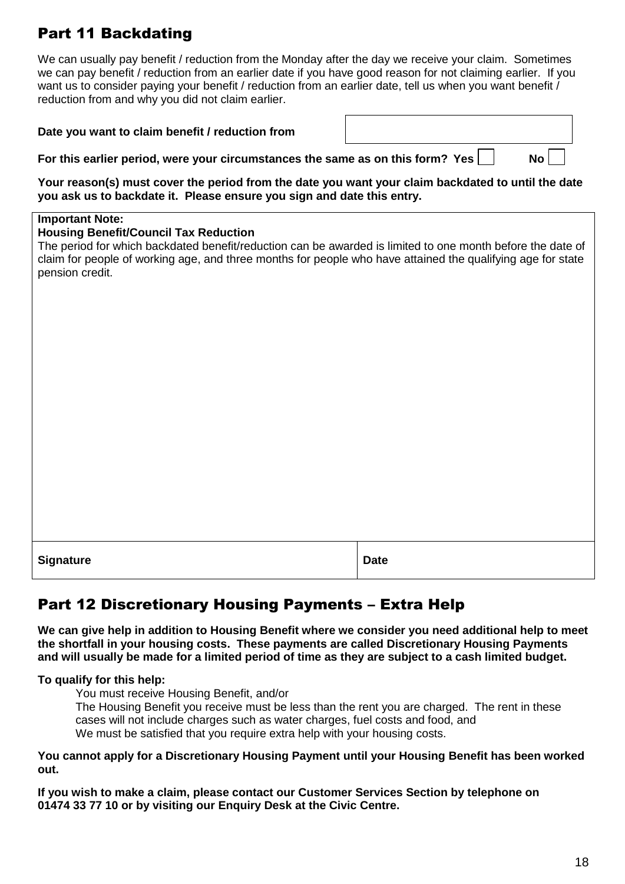# Part 11 Backdating

We can usually pay benefit / reduction from the Monday after the day we receive your claim. Sometimes we can pay benefit / reduction from an earlier date if you have good reason for not claiming earlier. If you want us to consider paying your benefit / reduction from an earlier date, tell us when you want benefit / reduction from and why you did not claim earlier.

| Date you want to claim benefit / reduction from                                                                                                                                                                                                                                                                        |             |  |  |  |  |  |  |
|------------------------------------------------------------------------------------------------------------------------------------------------------------------------------------------------------------------------------------------------------------------------------------------------------------------------|-------------|--|--|--|--|--|--|
| For this earlier period, were your circumstances the same as on this form? Yes<br><b>No</b>                                                                                                                                                                                                                            |             |  |  |  |  |  |  |
| Your reason(s) must cover the period from the date you want your claim backdated to until the date<br>you ask us to backdate it. Please ensure you sign and date this entry.                                                                                                                                           |             |  |  |  |  |  |  |
| <b>Important Note:</b><br><b>Housing Benefit/Council Tax Reduction</b><br>The period for which backdated benefit/reduction can be awarded is limited to one month before the date of<br>claim for people of working age, and three months for people who have attained the qualifying age for state<br>pension credit. |             |  |  |  |  |  |  |
| <b>Signature</b>                                                                                                                                                                                                                                                                                                       | <b>Date</b> |  |  |  |  |  |  |

# Part 12 Discretionary Housing Payments – Extra Help

**We can give help in addition to Housing Benefit where we consider you need additional help to meet the shortfall in your housing costs. These payments are called Discretionary Housing Payments and will usually be made for a limited period of time as they are subject to a cash limited budget.**

**To qualify for this help:**

You must receive Housing Benefit, and/or

The Housing Benefit you receive must be less than the rent you are charged. The rent in these cases will not include charges such as water charges, fuel costs and food, and We must be satisfied that you require extra help with your housing costs.

**You cannot apply for a Discretionary Housing Payment until your Housing Benefit has been worked out.**

**If you wish to make a claim, please contact our Customer Services Section by telephone on 01474 33 77 10 or by visiting our Enquiry Desk at the Civic Centre.**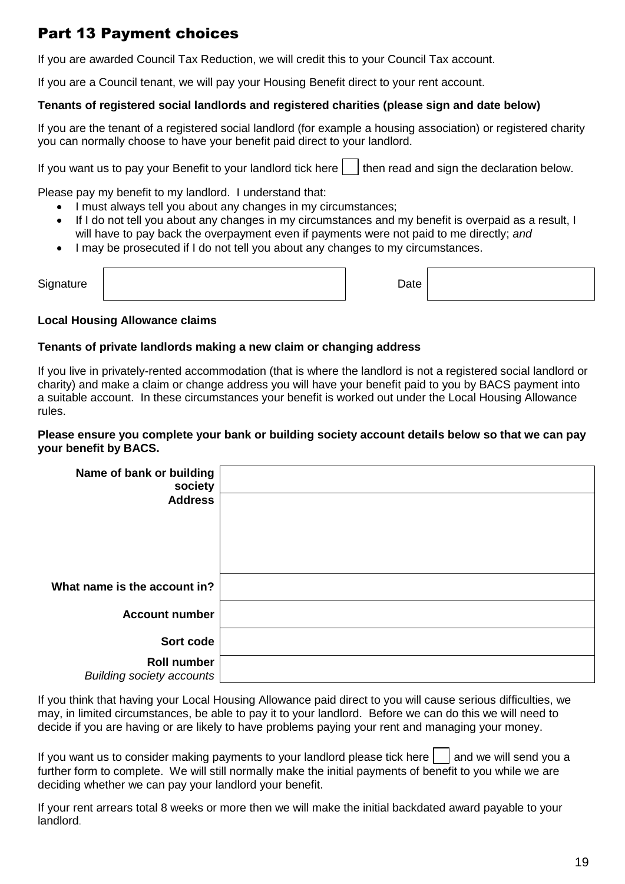# Part 13 Payment choices

If you are awarded Council Tax Reduction, we will credit this to your Council Tax account.

If you are a Council tenant, we will pay your Housing Benefit direct to your rent account.

### **Tenants of registered social landlords and registered charities (please sign and date below)**

If you are the tenant of a registered social landlord (for example a housing association) or registered charity you can normally choose to have your benefit paid direct to your landlord.

If you want us to pay your Benefit to your landlord tick here  $\vert \cdot \vert$  then read and sign the declaration below.

Please pay my benefit to my landlord. I understand that:

- I must always tell you about any changes in my circumstances;
- If I do not tell you about any changes in my circumstances and my benefit is overpaid as a result, I will have to pay back the overpayment even if payments were not paid to me directly; *and*
- I may be prosecuted if I do not tell you about any changes to my circumstances.

| Signature | Date |  |
|-----------|------|--|
|           |      |  |

### **Local Housing Allowance claims**

#### **Tenants of private landlords making a new claim or changing address**

If you live in privately-rented accommodation (that is where the landlord is not a registered social landlord or charity) and make a claim or change address you will have your benefit paid to you by BACS payment into a suitable account. In these circumstances your benefit is worked out under the Local Housing Allowance rules.

#### **Please ensure you complete your bank or building society account details below so that we can pay your benefit by BACS.**

| Name of bank or building<br>society                    |  |
|--------------------------------------------------------|--|
| <b>Address</b>                                         |  |
|                                                        |  |
|                                                        |  |
| What name is the account in?                           |  |
| <b>Account number</b>                                  |  |
| Sort code                                              |  |
| <b>Roll number</b><br><b>Building society accounts</b> |  |

If you think that having your Local Housing Allowance paid direct to you will cause serious difficulties, we may, in limited circumstances, be able to pay it to your landlord. Before we can do this we will need to decide if you are having or are likely to have problems paying your rent and managing your money.

If you want us to consider making payments to your landlord please tick here  $\vert \ \vert$  and we will send you a further form to complete. We will still normally make the initial payments of benefit to you while we are deciding whether we can pay your landlord your benefit.

If your rent arrears total 8 weeks or more then we will make the initial backdated award payable to your landlord.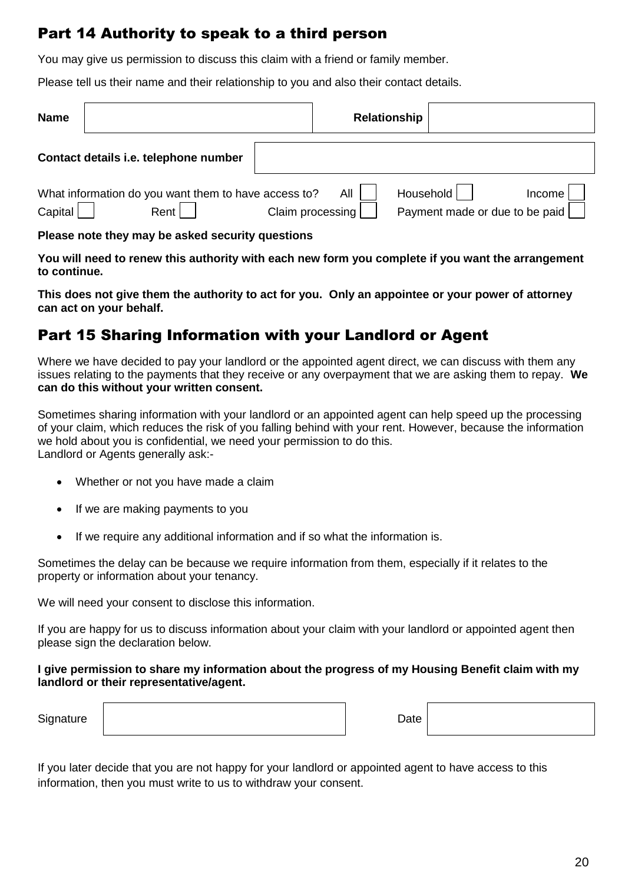# Part 14 Authority to speak to a third person

You may give us permission to discuss this claim with a friend or family member.

Please tell us their name and their relationship to you and also their contact details.

| <b>Name</b> |                                                              |                  | Relationship |           |                                          |
|-------------|--------------------------------------------------------------|------------------|--------------|-----------|------------------------------------------|
|             | Contact details i.e. telephone number                        |                  |              |           |                                          |
| Capital     | What information do you want them to have access to?<br>Rent | Claim processing | All          | Household | Income<br>Payment made or due to be paid |

**Please note they may be asked security questions**

**You will need to renew this authority with each new form you complete if you want the arrangement to continue.**

**This does not give them the authority to act for you. Only an appointee or your power of attorney can act on your behalf.**

# Part 15 Sharing Information with your Landlord or Agent

Where we have decided to pay your landlord or the appointed agent direct, we can discuss with them any issues relating to the payments that they receive or any overpayment that we are asking them to repay. **We can do this without your written consent.**

Sometimes sharing information with your landlord or an appointed agent can help speed up the processing of your claim, which reduces the risk of you falling behind with your rent. However, because the information we hold about you is confidential, we need your permission to do this. Landlord or Agents generally ask:-

- Whether or not you have made a claim
- If we are making payments to you
- If we require any additional information and if so what the information is.

Sometimes the delay can be because we require information from them, especially if it relates to the property or information about your tenancy.

We will need your consent to disclose this information.

If you are happy for us to discuss information about your claim with your landlord or appointed agent then please sign the declaration below.

#### **I give permission to share my information about the progress of my Housing Benefit claim with my landlord or their representative/agent.**

Signature **Date** 

If you later decide that you are not happy for your landlord or appointed agent to have access to this information, then you must write to us to withdraw your consent.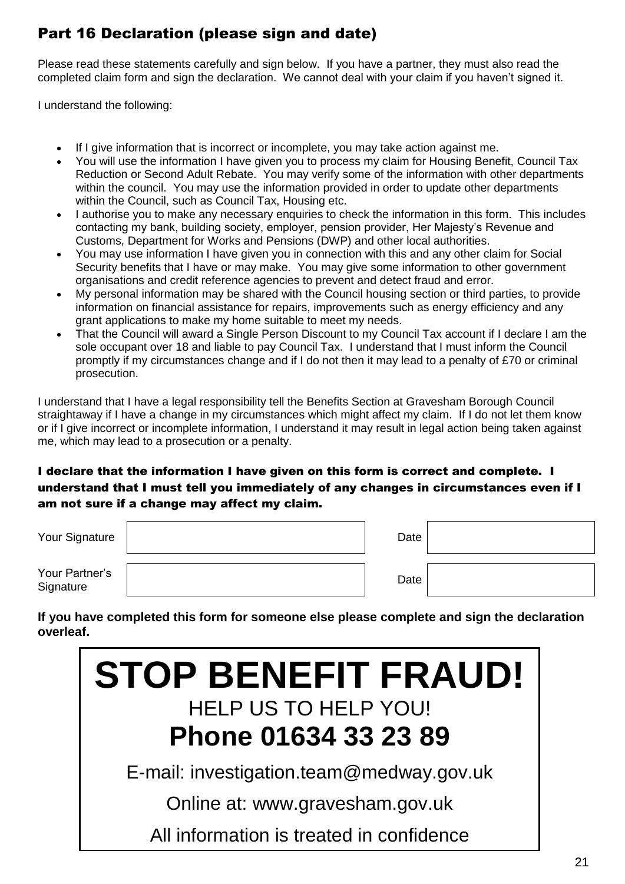# Part 16 Declaration (please sign and date)

Please read these statements carefully and sign below. If you have a partner, they must also read the completed claim form and sign the declaration. We cannot deal with your claim if you haven't signed it.

I understand the following:

- If I give information that is incorrect or incomplete, you may take action against me.
- You will use the information I have given you to process my claim for Housing Benefit, Council Tax Reduction or Second Adult Rebate. You may verify some of the information with other departments within the council. You may use the information provided in order to update other departments within the Council, such as Council Tax, Housing etc.
- I authorise you to make any necessary enquiries to check the information in this form. This includes contacting my bank, building society, employer, pension provider, Her Majesty's Revenue and Customs, Department for Works and Pensions (DWP) and other local authorities.
- You may use information I have given you in connection with this and any other claim for Social Security benefits that I have or may make. You may give some information to other government organisations and credit reference agencies to prevent and detect fraud and error.
- My personal information may be shared with the Council housing section or third parties, to provide information on financial assistance for repairs, improvements such as energy efficiency and any grant applications to make my home suitable to meet my needs.
- That the Council will award a Single Person Discount to my Council Tax account if I declare I am the sole occupant over 18 and liable to pay Council Tax. I understand that I must inform the Council promptly if my circumstances change and if I do not then it may lead to a penalty of £70 or criminal prosecution.

I understand that I have a legal responsibility tell the Benefits Section at Gravesham Borough Council straightaway if I have a change in my circumstances which might affect my claim. If I do not let them know or if I give incorrect or incomplete information, I understand it may result in legal action being taken against me, which may lead to a prosecution or a penalty.

### I declare that the information I have given on this form is correct and complete. I understand that I must tell you immediately of any changes in circumstances even if I am not sure if a change may affect my claim.

| Your Signature              | Date |  |
|-----------------------------|------|--|
| Your Partner's<br>Signature | Date |  |

**If you have completed this form for someone else please complete and sign the declaration overleaf.**

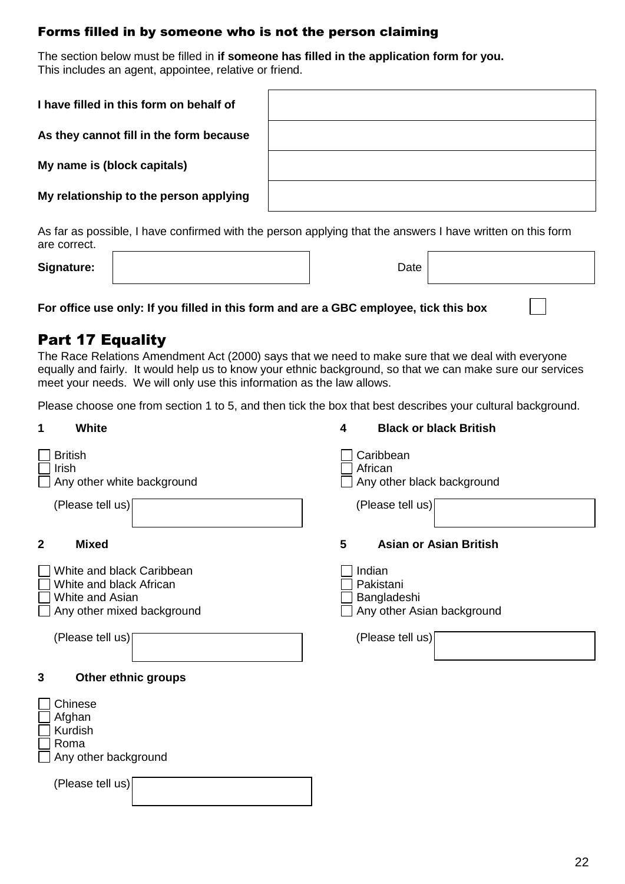### Forms filled in by someone who is not the person claiming

The section below must be filled in **if someone has filled in the application form for you.** This includes an agent, appointee, relative or friend.

| I have filled in this form on behalf of |  |
|-----------------------------------------|--|
| As they cannot fill in the form because |  |
| My name is (block capitals)             |  |
| My relationship to the person applying  |  |

As far as possible, I have confirmed with the person applying that the answers I have written on this form are correct.

**Signature:** 

| Date |  |
|------|--|
|      |  |

**For office use only: If you filled in this form and are a GBC employee, tick this box**

## Part 17 Equality

The Race Relations Amendment Act (2000) says that we need to make sure that we deal with everyone equally and fairly. It would help us to know your ethnic background, so that we can make sure our services meet your needs. We will only use this information as the law allows.

Please choose one from section 1 to 5, and then tick the box that best describes your cultural background.

| 1                                                                                | <b>Black or black British</b> |
|----------------------------------------------------------------------------------|-------------------------------|
| <b>White</b>                                                                     | $\overline{\mathbf{4}}$       |
| <b>British</b>                                                                   | Caribbean                     |
| Irish                                                                            | African                       |
| Any other white background                                                       | Any other black background    |
| (Please tell us)                                                                 | (Please tell us)              |
| <b>Mixed</b>                                                                     | 5                             |
| $\mathbf{2}$                                                                     | <b>Asian or Asian British</b> |
| White and black Caribbean                                                        | Indian                        |
| White and black African                                                          | Pakistani                     |
| White and Asian                                                                  | Bangladeshi                   |
| Any other mixed background                                                       | Any other Asian background    |
| (Please tell us)                                                                 | (Please tell us)              |
| 3<br>Other ethnic groups                                                         |                               |
| Chinese<br>Afghan<br>Kurdish<br>Roma<br>Any other background<br>(Please tell us) |                               |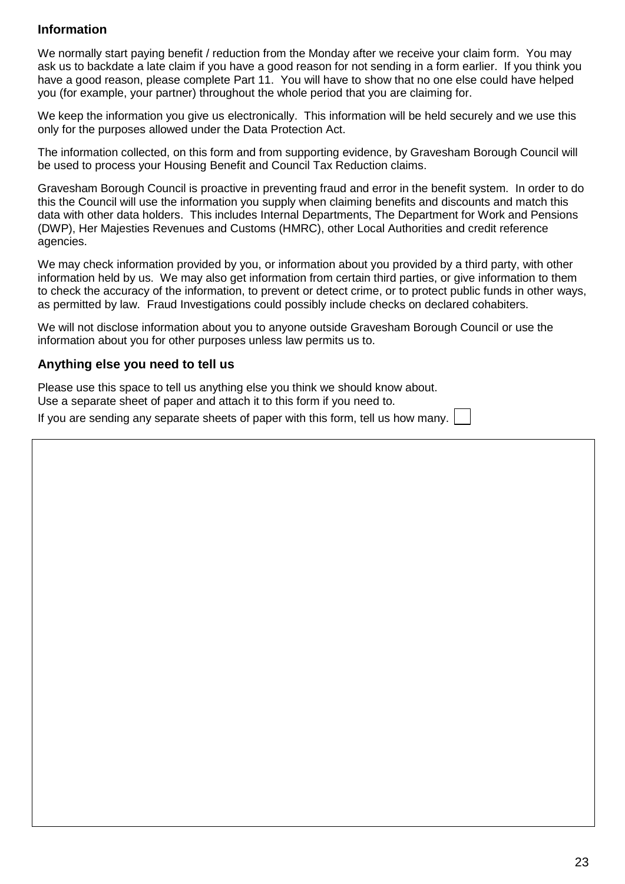### **Information**

We normally start paying benefit / reduction from the Monday after we receive your claim form. You may ask us to backdate a late claim if you have a good reason for not sending in a form earlier. If you think you have a good reason, please complete Part 11. You will have to show that no one else could have helped you (for example, your partner) throughout the whole period that you are claiming for.

We keep the information you give us electronically. This information will be held securely and we use this only for the purposes allowed under the Data Protection Act.

The information collected, on this form and from supporting evidence, by Gravesham Borough Council will be used to process your Housing Benefit and Council Tax Reduction claims.

Gravesham Borough Council is proactive in preventing fraud and error in the benefit system. In order to do this the Council will use the information you supply when claiming benefits and discounts and match this data with other data holders. This includes Internal Departments, The Department for Work and Pensions (DWP), Her Majesties Revenues and Customs (HMRC), other Local Authorities and credit reference agencies.

We may check information provided by you, or information about you provided by a third party, with other information held by us. We may also get information from certain third parties, or give information to them to check the accuracy of the information, to prevent or detect crime, or to protect public funds in other ways, as permitted by law. Fraud Investigations could possibly include checks on declared cohabiters.

We will not disclose information about you to anyone outside Gravesham Borough Council or use the information about you for other purposes unless law permits us to.

#### **Anything else you need to tell us**

Please use this space to tell us anything else you think we should know about. Use a separate sheet of paper and attach it to this form if you need to.

If you are sending any separate sheets of paper with this form, tell us how many.